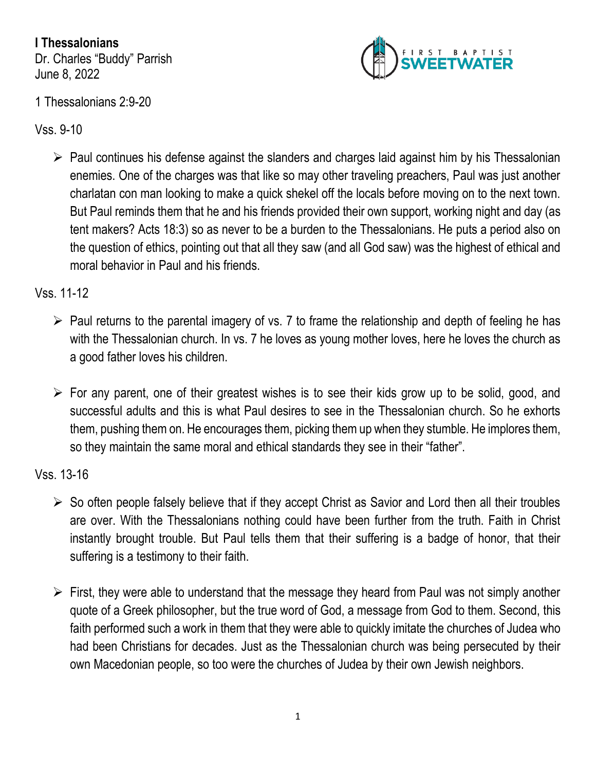**I Thessalonians** Dr. Charles "Buddy" Parrish June 8, 2022



## 1 Thessalonians 2:9-20

Vss. 9-10

 $\triangleright$  Paul continues his defense against the slanders and charges laid against him by his Thessalonian enemies. One of the charges was that like so may other traveling preachers, Paul was just another charlatan con man looking to make a quick shekel off the locals before moving on to the next town. But Paul reminds them that he and his friends provided their own support, working night and day (as tent makers? Acts 18:3) so as never to be a burden to the Thessalonians. He puts a period also on the question of ethics, pointing out that all they saw (and all God saw) was the highest of ethical and moral behavior in Paul and his friends.

## Vss. 11-12

- $\triangleright$  Paul returns to the parental imagery of vs. 7 to frame the relationship and depth of feeling he has with the Thessalonian church. In vs. 7 he loves as young mother loves, here he loves the church as a good father loves his children.
- $\triangleright$  For any parent, one of their greatest wishes is to see their kids grow up to be solid, good, and successful adults and this is what Paul desires to see in the Thessalonian church. So he exhorts them, pushing them on. He encourages them, picking them up when they stumble. He implores them, so they maintain the same moral and ethical standards they see in their "father".

## Vss. 13-16

- $\triangleright$  So often people falsely believe that if they accept Christ as Savior and Lord then all their troubles are over. With the Thessalonians nothing could have been further from the truth. Faith in Christ instantly brought trouble. But Paul tells them that their suffering is a badge of honor, that their suffering is a testimony to their faith.
- $\triangleright$  First, they were able to understand that the message they heard from Paul was not simply another quote of a Greek philosopher, but the true word of God, a message from God to them. Second, this faith performed such a work in them that they were able to quickly imitate the churches of Judea who had been Christians for decades. Just as the Thessalonian church was being persecuted by their own Macedonian people, so too were the churches of Judea by their own Jewish neighbors.